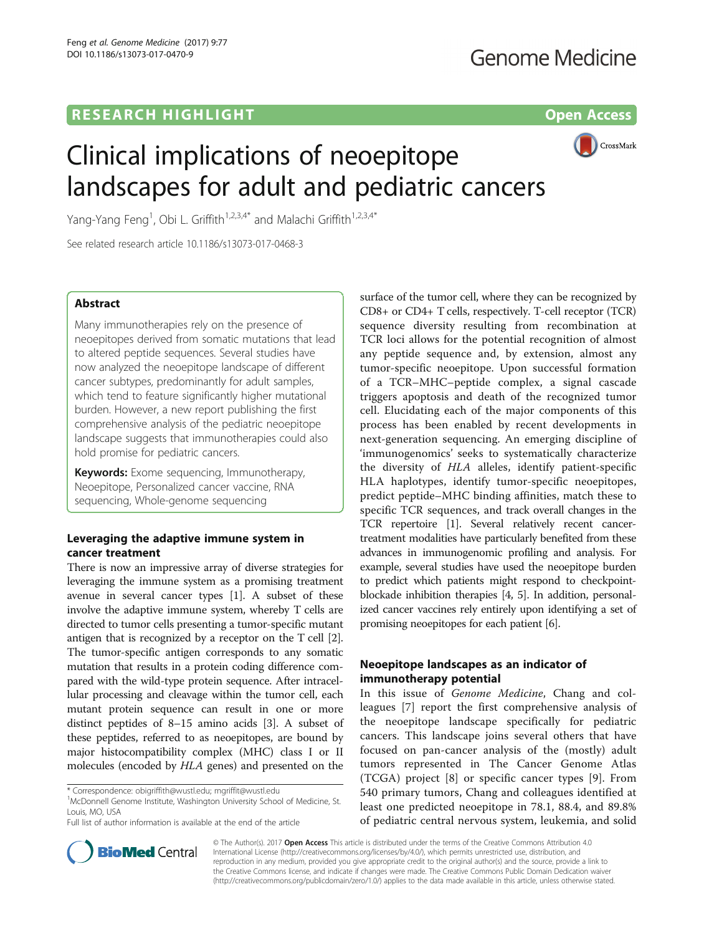## **RESEARCH HIGHLIGHT CONSUMING THE OPEN ACCESS**



# Clinical implications of neoepitope landscapes for adult and pediatric cancers

Yang-Yang Feng<sup>1</sup>, Obi L. Griffith<sup>1,2,3,4\*</sup> and Malachi Griffith<sup>1,2,3,4\*</sup>

See related research article 10.1186/s13073-017-0468-3

## Abstract

Many immunotherapies rely on the presence of neoepitopes derived from somatic mutations that lead to altered peptide sequences. Several studies have now analyzed the neoepitope landscape of different cancer subtypes, predominantly for adult samples, which tend to feature significantly higher mutational burden. However, a new report publishing the first comprehensive analysis of the pediatric neoepitope landscape suggests that immunotherapies could also hold promise for pediatric cancers.

**Keywords:** Exome sequencing, Immunotherapy, Neoepitope, Personalized cancer vaccine, RNA sequencing, Whole-genome sequencing

## Leveraging the adaptive immune system in cancer treatment

There is now an impressive array of diverse strategies for leveraging the immune system as a promising treatment avenue in several cancer types [\[1](#page-2-0)]. A subset of these involve the adaptive immune system, whereby T cells are directed to tumor cells presenting a tumor-specific mutant antigen that is recognized by a receptor on the T cell [[2](#page-2-0)]. The tumor-specific antigen corresponds to any somatic mutation that results in a protein coding difference compared with the wild-type protein sequence. After intracellular processing and cleavage within the tumor cell, each mutant protein sequence can result in one or more distinct peptides of 8–15 amino acids [[3\]](#page-2-0). A subset of these peptides, referred to as neoepitopes, are bound by major histocompatibility complex (MHC) class I or II molecules (encoded by HLA genes) and presented on the

<sup>1</sup>McDonnell Genome Institute, Washington University School of Medicine, St. Louis, MO, USA

CD8+ or CD4+ T cells, respectively. T-cell receptor (TCR) sequence diversity resulting from recombination at TCR loci allows for the potential recognition of almost any peptide sequence and, by extension, almost any tumor-specific neoepitope. Upon successful formation of a TCR–MHC–peptide complex, a signal cascade triggers apoptosis and death of the recognized tumor cell. Elucidating each of the major components of this process has been enabled by recent developments in next-generation sequencing. An emerging discipline of 'immunogenomics' seeks to systematically characterize the diversity of HLA alleles, identify patient-specific HLA haplotypes, identify tumor-specific neoepitopes, predict peptide–MHC binding affinities, match these to specific TCR sequences, and track overall changes in the TCR repertoire [[1](#page-2-0)]. Several relatively recent cancertreatment modalities have particularly benefited from these advances in immunogenomic profiling and analysis. For example, several studies have used the neoepitope burden to predict which patients might respond to checkpointblockade inhibition therapies [[4](#page-2-0), [5\]](#page-2-0). In addition, personalized cancer vaccines rely entirely upon identifying a set of promising neoepitopes for each patient [\[6](#page-2-0)].

surface of the tumor cell, where they can be recognized by

## Neoepitope landscapes as an indicator of immunotherapy potential

In this issue of Genome Medicine, Chang and colleagues [[7](#page-2-0)] report the first comprehensive analysis of the neoepitope landscape specifically for pediatric cancers. This landscape joins several others that have focused on pan-cancer analysis of the (mostly) adult tumors represented in The Cancer Genome Atlas (TCGA) project [[8\]](#page-2-0) or specific cancer types [\[9](#page-3-0)]. From 540 primary tumors, Chang and colleagues identified at least one predicted neoepitope in 78.1, 88.4, and 89.8% of pediatric central nervous system, leukemia, and solid



© The Author(s). 2017 **Open Access** This article is distributed under the terms of the Creative Commons Attribution 4.0 International License [\(http://creativecommons.org/licenses/by/4.0/](http://creativecommons.org/licenses/by/4.0/)), which permits unrestricted use, distribution, and reproduction in any medium, provided you give appropriate credit to the original author(s) and the source, provide a link to the Creative Commons license, and indicate if changes were made. The Creative Commons Public Domain Dedication waiver [\(http://creativecommons.org/publicdomain/zero/1.0/](http://creativecommons.org/publicdomain/zero/1.0/)) applies to the data made available in this article, unless otherwise stated.

<sup>\*</sup> Correspondence: [obigriffith@wustl.edu;](mailto:obigriffith@wustl.edu) [mgriffit@wustl.edu](mailto:mgriffit@wustl.edu) <sup>1</sup>

Full list of author information is available at the end of the article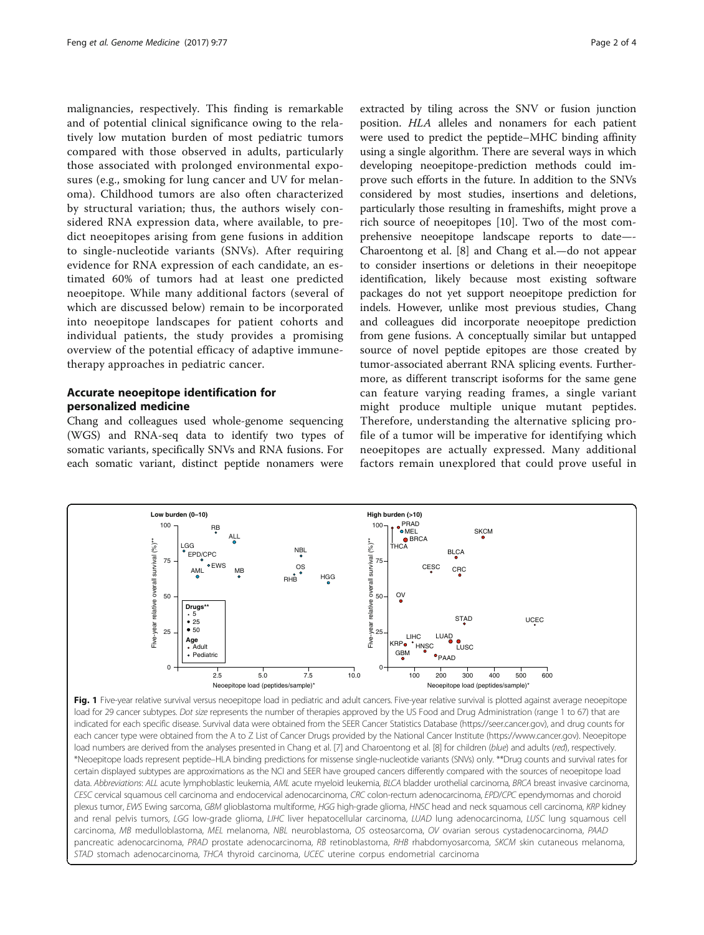<span id="page-1-0"></span>malignancies, respectively. This finding is remarkable and of potential clinical significance owing to the relatively low mutation burden of most pediatric tumors compared with those observed in adults, particularly those associated with prolonged environmental exposures (e.g., smoking for lung cancer and UV for melanoma). Childhood tumors are also often characterized by structural variation; thus, the authors wisely considered RNA expression data, where available, to predict neoepitopes arising from gene fusions in addition to single-nucleotide variants (SNVs). After requiring evidence for RNA expression of each candidate, an estimated 60% of tumors had at least one predicted neoepitope. While many additional factors (several of which are discussed below) remain to be incorporated into neoepitope landscapes for patient cohorts and individual patients, the study provides a promising overview of the potential efficacy of adaptive immunetherapy approaches in pediatric cancer.

### Accurate neoepitope identification for personalized medicine

Chang and colleagues used whole-genome sequencing (WGS) and RNA-seq data to identify two types of somatic variants, specifically SNVs and RNA fusions. For each somatic variant, distinct peptide nonamers were extracted by tiling across the SNV or fusion junction position. HLA alleles and nonamers for each patient were used to predict the peptide–MHC binding affinity using a single algorithm. There are several ways in which developing neoepitope-prediction methods could improve such efforts in the future. In addition to the SNVs considered by most studies, insertions and deletions, particularly those resulting in frameshifts, might prove a rich source of neoepitopes [[10\]](#page-3-0). Two of the most comprehensive neoepitope landscape reports to date—- Charoentong et al. [\[8](#page-2-0)] and Chang et al.—do not appear to consider insertions or deletions in their neoepitope identification, likely because most existing software packages do not yet support neoepitope prediction for indels. However, unlike most previous studies, Chang and colleagues did incorporate neoepitope prediction from gene fusions. A conceptually similar but untapped source of novel peptide epitopes are those created by tumor-associated aberrant RNA splicing events. Furthermore, as different transcript isoforms for the same gene can feature varying reading frames, a single variant might produce multiple unique mutant peptides. Therefore, understanding the alternative splicing profile of a tumor will be imperative for identifying which neoepitopes are actually expressed. Many additional factors remain unexplored that could prove useful in

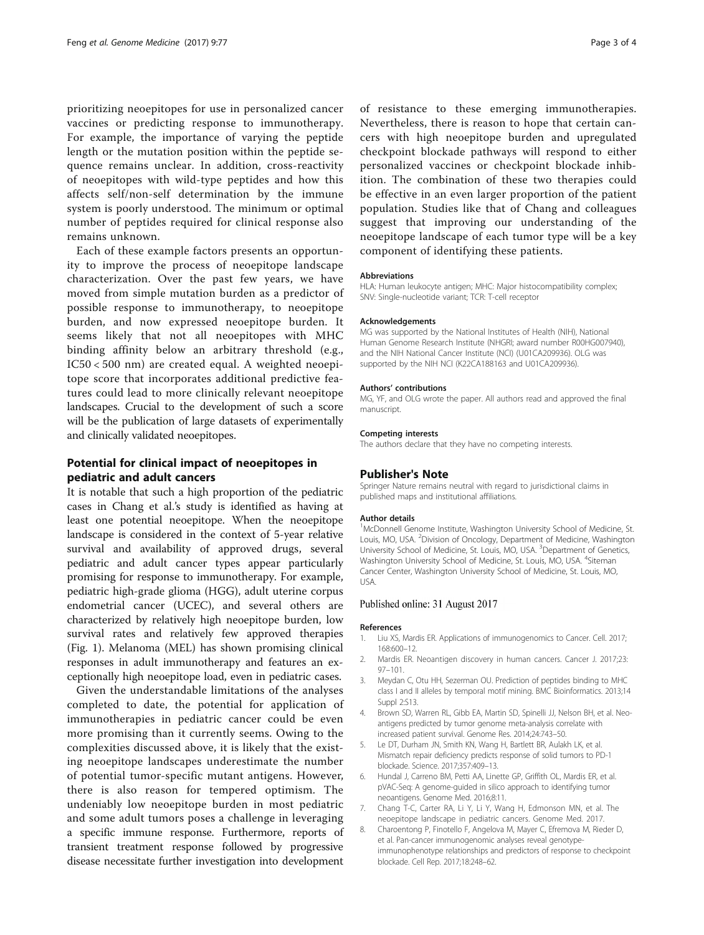<span id="page-2-0"></span>prioritizing neoepitopes for use in personalized cancer vaccines or predicting response to immunotherapy. For example, the importance of varying the peptide length or the mutation position within the peptide sequence remains unclear. In addition, cross-reactivity of neoepitopes with wild-type peptides and how this affects self/non-self determination by the immune system is poorly understood. The minimum or optimal number of peptides required for clinical response also remains unknown.

Each of these example factors presents an opportunity to improve the process of neoepitope landscape characterization. Over the past few years, we have moved from simple mutation burden as a predictor of possible response to immunotherapy, to neoepitope burden, and now expressed neoepitope burden. It seems likely that not all neoepitopes with MHC binding affinity below an arbitrary threshold (e.g., IC50 < 500 nm) are created equal. A weighted neoepitope score that incorporates additional predictive features could lead to more clinically relevant neoepitope landscapes. Crucial to the development of such a score will be the publication of large datasets of experimentally and clinically validated neoepitopes.

## Potential for clinical impact of neoepitopes in pediatric and adult cancers

It is notable that such a high proportion of the pediatric cases in Chang et al.'s study is identified as having at least one potential neoepitope. When the neoepitope landscape is considered in the context of 5-year relative survival and availability of approved drugs, several pediatric and adult cancer types appear particularly promising for response to immunotherapy. For example, pediatric high-grade glioma (HGG), adult uterine corpus endometrial cancer (UCEC), and several others are characterized by relatively high neoepitope burden, low survival rates and relatively few approved therapies (Fig. [1\)](#page-1-0). Melanoma (MEL) has shown promising clinical responses in adult immunotherapy and features an exceptionally high neoepitope load, even in pediatric cases.

Given the understandable limitations of the analyses completed to date, the potential for application of immunotherapies in pediatric cancer could be even more promising than it currently seems. Owing to the complexities discussed above, it is likely that the existing neoepitope landscapes underestimate the number of potential tumor-specific mutant antigens. However, there is also reason for tempered optimism. The undeniably low neoepitope burden in most pediatric and some adult tumors poses a challenge in leveraging a specific immune response. Furthermore, reports of transient treatment response followed by progressive disease necessitate further investigation into development

of resistance to these emerging immunotherapies. Nevertheless, there is reason to hope that certain cancers with high neoepitope burden and upregulated checkpoint blockade pathways will respond to either personalized vaccines or checkpoint blockade inhibition. The combination of these two therapies could be effective in an even larger proportion of the patient population. Studies like that of Chang and colleagues suggest that improving our understanding of the neoepitope landscape of each tumor type will be a key component of identifying these patients.

#### Abbreviations

HLA: Human leukocyte antigen; MHC: Major histocompatibility complex; SNV: Single-nucleotide variant; TCR: T-cell receptor

#### Acknowledgements

MG was supported by the National Institutes of Health (NIH), National Human Genome Research Institute (NHGRI; award number R00HG007940), and the NIH National Cancer Institute (NCI) (U01CA209936). OLG was supported by the NIH NCI (K22CA188163 and U01CA209936).

#### Authors' contributions

MG, YF, and OLG wrote the paper. All authors read and approved the final manuscript.

#### Competing interests

The authors declare that they have no competing interests.

#### Publisher's Note

Springer Nature remains neutral with regard to jurisdictional claims in published maps and institutional affiliations.

#### Author details

<sup>1</sup>McDonnell Genome Institute, Washington University School of Medicine, St. Louis, MO, USA. <sup>2</sup>Division of Oncology, Department of Medicine, Washington University School of Medicine, St. Louis, MO, USA. <sup>3</sup>Department of Genetics Washington University School of Medicine, St. Louis, MO, USA. <sup>4</sup>Siteman Cancer Center, Washington University School of Medicine, St. Louis, MO, USA.

#### Published online: 31 August 2017

#### References

- 1. Liu XS, Mardis ER. Applications of immunogenomics to Cancer. Cell. 2017; 168:600–12.
- 2. Mardis ER. Neoantigen discovery in human cancers. Cancer J. 2017;23: 97–101.
- 3. Meydan C, Otu HH, Sezerman OU. Prediction of peptides binding to MHC class I and II alleles by temporal motif mining. BMC Bioinformatics. 2013;14 Suppl 2:S13.
- 4. Brown SD, Warren RL, Gibb EA, Martin SD, Spinelli JJ, Nelson BH, et al. Neoantigens predicted by tumor genome meta-analysis correlate with increased patient survival. Genome Res. 2014;24:743–50.
- 5. Le DT, Durham JN, Smith KN, Wang H, Bartlett BR, Aulakh LK, et al. Mismatch repair deficiency predicts response of solid tumors to PD-1 blockade. Science. 2017;357:409–13.
- 6. Hundal J, Carreno BM, Petti AA, Linette GP, Griffith OL, Mardis ER, et al. pVAC-Seq: A genome-guided in silico approach to identifying tumor neoantigens. Genome Med. 2016;8:11.
- 7. Chang T-C, Carter RA, Li Y, Li Y, Wang H, Edmonson MN, et al. The neoepitope landscape in pediatric cancers. Genome Med. 2017.
- 8. Charoentong P, Finotello F, Angelova M, Mayer C, Efremova M, Rieder D, et al. Pan-cancer immunogenomic analyses reveal genotypeimmunophenotype relationships and predictors of response to checkpoint blockade. Cell Rep. 2017;18:248–62.